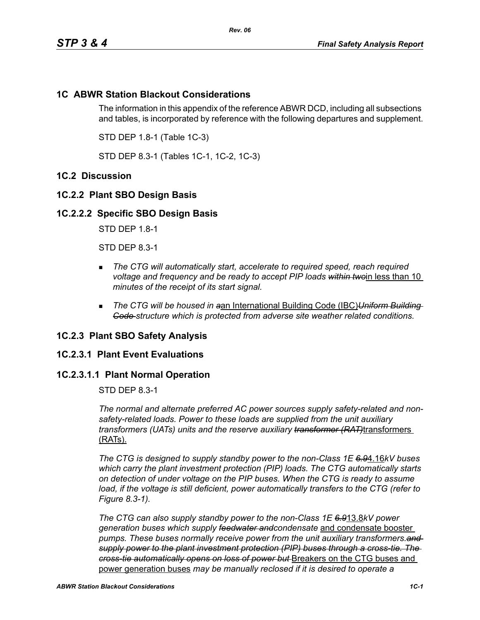# **1C ABWR Station Blackout Considerations**

The information in this appendix of the reference ABWR DCD, including all subsections and tables, is incorporated by reference with the following departures and supplement.

STD DEP 1.8-1 (Table 1C-3)

STD DEP 8.3-1 (Tables 1C-1, 1C-2, 1C-3)

# **1C.2 Discussion**

## **1C.2.2 Plant SBO Design Basis**

### **1C.2.2.2 Specific SBO Design Basis**

STD DEP 1.8-1

STD DEP 8.3-1

- **The CTG will automatically start, accelerate to required speed, reach required** *voltage and frequency and be ready to accept PIP loads within two*in less than 10 *minutes of the receipt of its start signal.*
- *The CTG will be housed in a*an International Building Code (IBC)*Uniform Building Code structure which is protected from adverse site weather related conditions.*

### **1C.2.3 Plant SBO Safety Analysis**

### **1C.2.3.1 Plant Event Evaluations**

## **1C.2.3.1.1 Plant Normal Operation**

STD DEP 8.3-1

*The normal and alternate preferred AC power sources supply safety-related and nonsafety-related loads. Power to these loads are supplied from the unit auxiliary transformers (UATs) units and the reserve auxiliary transformer (RAT)*transformers (RATs).

*The CTG is designed to supply standby power to the non-Class 1E 6.9*4.16*kV buses which carry the plant investment protection (PIP) loads. The CTG automatically starts on detection of under voltage on the PIP buses. When the CTG is ready to assume*  load, if the voltage is still deficient, power automatically transfers to the CTG (refer to *Figure 8.3-1).*

*The CTG can also supply standby power to the non-Class 1E 6.9*13.8*kV power generation buses which supply feedwater andcondensate* and condensate booster *pumps. These buses normally receive power from the unit auxiliary transformers.and supply power to the plant investment protection (PIP) buses through a cross-tie. The cross-tie automatically opens on loss of power but* Breakers on the CTG buses and power generation buses *may be manually reclosed if it is desired to operate a*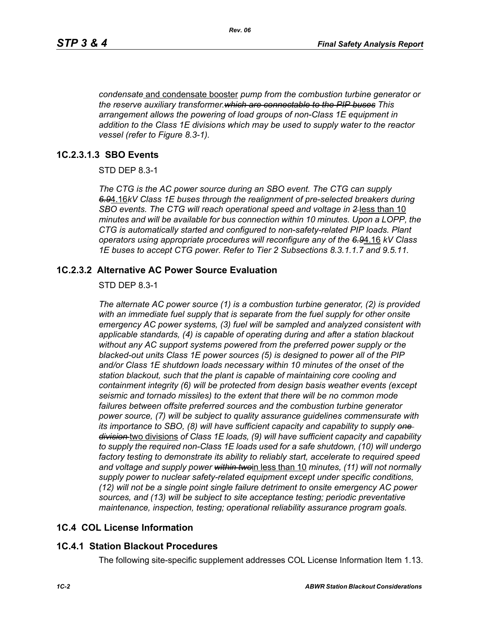*condensate* and condensate booster *pump from the combustion turbine generator or the reserve auxiliary transformer.which are connectable to the PIP buses This arrangement allows the powering of load groups of non-Class 1E equipment in addition to the Class 1E divisions which may be used to supply water to the reactor vessel (refer to Figure 8.3-1).*

## **1C.2.3.1.3 SBO Events**

STD DEP 8.3-1

*The CTG is the AC power source during an SBO event. The CTG can supply 6.9*4.16*kV Class 1E buses through the realignment of pre-selected breakers during SBO events. The CTG will reach operational speed and voltage in 2* less than 10 *minutes and will be available for bus connection within 10 minutes. Upon a LOPP, the CTG is automatically started and configured to non-safety-related PIP loads. Plant operators using appropriate procedures will reconfigure any of the 6.9*4.16 *kV Class 1E buses to accept CTG power. Refer to Tier 2 Subsections 8.3.1.1.7 and 9.5.11.*

## **1C.2.3.2 Alternative AC Power Source Evaluation**

#### STD DEP 8.3-1

*The alternate AC power source (1) is a combustion turbine generator, (2) is provided with an immediate fuel supply that is separate from the fuel supply for other onsite emergency AC power systems, (3) fuel will be sampled and analyzed consistent with applicable standards, (4) is capable of operating during and after a station blackout without any AC support systems powered from the preferred power supply or the blacked-out units Class 1E power sources (5) is designed to power all of the PIP and/or Class 1E shutdown loads necessary within 10 minutes of the onset of the station blackout, such that the plant is capable of maintaining core cooling and containment integrity (6) will be protected from design basis weather events (except seismic and tornado missiles) to the extent that there will be no common mode*  failures between offsite preferred sources and the combustion turbine generator *power source, (7) will be subject to quality assurance guidelines commensurate with its importance to SBO, (8) will have sufficient capacity and capability to supply one division* two divisions *of Class 1E loads, (9) will have sufficient capacity and capability to supply the required non-Class 1E loads used for a safe shutdown, (10) will undergo factory testing to demonstrate its ability to reliably start, accelerate to required speed and voltage and supply power within two*in less than 10 *minutes, (11) will not normally supply power to nuclear safety-related equipment except under specific conditions, (12) will not be a single point single failure detriment to onsite emergency AC power sources, and (13) will be subject to site acceptance testing; periodic preventative maintenance, inspection, testing; operational reliability assurance program goals.*

# **1C.4 COL License Information**

# **1C.4.1 Station Blackout Procedures**

The following site-specific supplement addresses COL License Information Item 1.13.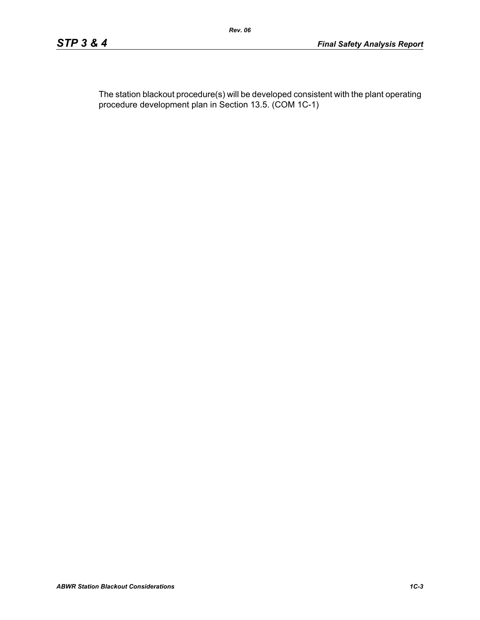The station blackout procedure(s) will be developed consistent with the plant operating procedure development plan in Section 13.5. (COM 1C-1)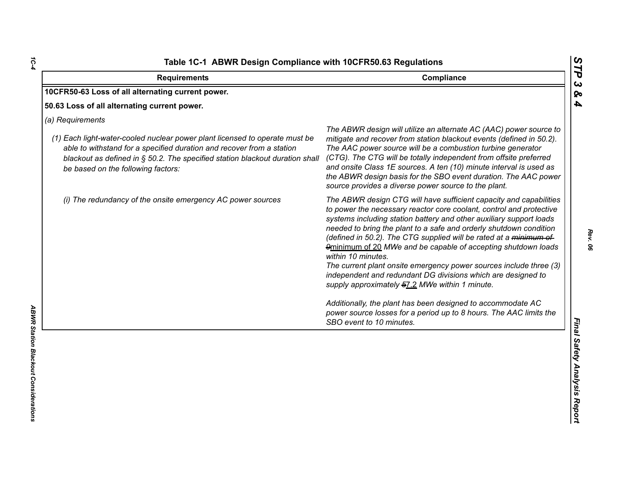| <b>Requirements</b>                                                                                                                                                                                                                                                                            | Compliance                                                                                                                                                                                                                                                                                                                                                                                                                                                                                                                                                                                                                                                                                                                                                                                                  |
|------------------------------------------------------------------------------------------------------------------------------------------------------------------------------------------------------------------------------------------------------------------------------------------------|-------------------------------------------------------------------------------------------------------------------------------------------------------------------------------------------------------------------------------------------------------------------------------------------------------------------------------------------------------------------------------------------------------------------------------------------------------------------------------------------------------------------------------------------------------------------------------------------------------------------------------------------------------------------------------------------------------------------------------------------------------------------------------------------------------------|
| 10CFR50-63 Loss of all alternating current power.                                                                                                                                                                                                                                              |                                                                                                                                                                                                                                                                                                                                                                                                                                                                                                                                                                                                                                                                                                                                                                                                             |
| 50.63 Loss of all alternating current power.                                                                                                                                                                                                                                                   |                                                                                                                                                                                                                                                                                                                                                                                                                                                                                                                                                                                                                                                                                                                                                                                                             |
| (a) Requirements<br>(1) Each light-water-cooled nuclear power plant licensed to operate must be<br>able to withstand for a specified duration and recover from a station<br>blackout as defined in § 50.2. The specified station blackout duration shall<br>be based on the following factors: | The ABWR design will utilize an alternate AC (AAC) power source to<br>mitigate and recover from station blackout events (defined in 50.2).<br>The AAC power source will be a combustion turbine generator<br>(CTG). The CTG will be totally independent from offsite preferred<br>and onsite Class 1E sources. A ten (10) minute interval is used as<br>the ABWR design basis for the SBO event duration. The AAC power<br>source provides a diverse power source to the plant.                                                                                                                                                                                                                                                                                                                             |
| (i) The redundancy of the onsite emergency AC power sources                                                                                                                                                                                                                                    | The ABWR design CTG will have sufficient capacity and capabilities<br>to power the necessary reactor core coolant, control and protective<br>systems including station battery and other auxiliary support loads<br>needed to bring the plant to a safe and orderly shutdown condition<br>(defined in 50.2). The CTG supplied will be rated at a minimum of<br>9minimum of 20 MWe and be capable of accepting shutdown loads<br>within 10 minutes.<br>The current plant onsite emergency power sources include three (3)<br>independent and redundant DG divisions which are designed to<br>supply approximately 57.2 MWe within 1 minute.<br>Additionally, the plant has been designed to accommodate AC<br>power source losses for a period up to 8 hours. The AAC limits the<br>SBO event to 10 minutes. |

*1C-4*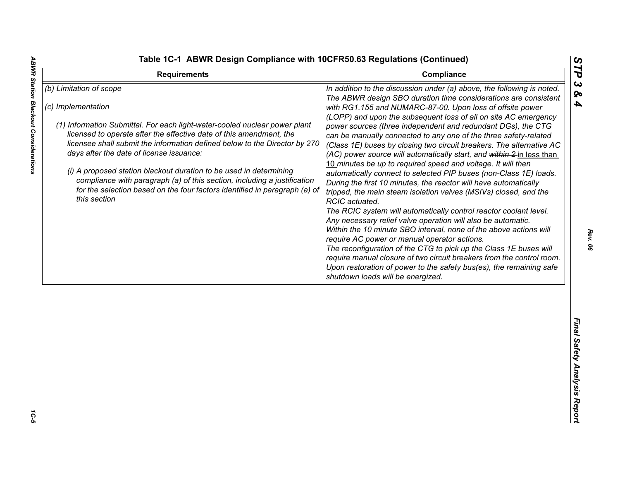**ABWR Station Blackout Considerations** 

|  |  | able 1C-1 ABWR Design Compliance with 10CFR50.63 Regulations (Continued) |  |  |  |
|--|--|--------------------------------------------------------------------------|--|--|--|
|--|--|--------------------------------------------------------------------------|--|--|--|

| <b>Requirements</b>                                                                                                                                                                                                                                                                                                                                                                                                                                                            | Compliance                                                                                                                                                                                                                                                                                                                                                                                                                                                                                                                                                                                                                                                                                                                                                              | ТP                           |
|--------------------------------------------------------------------------------------------------------------------------------------------------------------------------------------------------------------------------------------------------------------------------------------------------------------------------------------------------------------------------------------------------------------------------------------------------------------------------------|-------------------------------------------------------------------------------------------------------------------------------------------------------------------------------------------------------------------------------------------------------------------------------------------------------------------------------------------------------------------------------------------------------------------------------------------------------------------------------------------------------------------------------------------------------------------------------------------------------------------------------------------------------------------------------------------------------------------------------------------------------------------------|------------------------------|
| (b) Limitation of scope<br>(c) Implementation<br>(1) Information Submittal. For each light-water-cooled nuclear power plant<br>licensed to operate after the effective date of this amendment, the<br>licensee shall submit the information defined below to the Director by 270<br>days after the date of license issuance:<br>(i) A proposed station blackout duration to be used in determining<br>compliance with paragraph (a) of this section, including a justification | In addition to the discussion under (a) above, the following is noted.<br>The ABWR design SBO duration time considerations are consistent<br>with RG1.155 and NUMARC-87-00. Upon loss of offsite power<br>(LOPP) and upon the subsequent loss of all on site AC emergency<br>power sources (three independent and redundant DGs), the CTG<br>can be manually connected to any one of the three safety-related<br>(Class 1E) buses by closing two circuit breakers. The alternative AC<br>(AC) power source will automatically start, and within 2-in less than<br>10 minutes be up to required speed and voltage. It will then<br>automatically connect to selected PIP buses (non-Class 1E) loads.<br>During the first 10 minutes, the reactor will have automatically | ట<br>ବ<br>4                  |
| for the selection based on the four factors identified in paragraph (a) of<br>this section                                                                                                                                                                                                                                                                                                                                                                                     | tripped, the main steam isolation valves (MSIVs) closed, and the<br>RCIC actuated.<br>The RCIC system will automatically control reactor coolant level.<br>Any necessary relief valve operation will also be automatic.<br>Within the 10 minute SBO interval, none of the above actions will<br>require AC power or manual operator actions.<br>The reconfiguration of the CTG to pick up the Class 1E buses will<br>require manual closure of two circuit breakers from the control room.<br>Upon restoration of power to the safety bus(es), the remaining safe<br>shutdown loads will be energized.                                                                                                                                                                  |                              |
|                                                                                                                                                                                                                                                                                                                                                                                                                                                                                |                                                                                                                                                                                                                                                                                                                                                                                                                                                                                                                                                                                                                                                                                                                                                                         | Final Safety Analysis Report |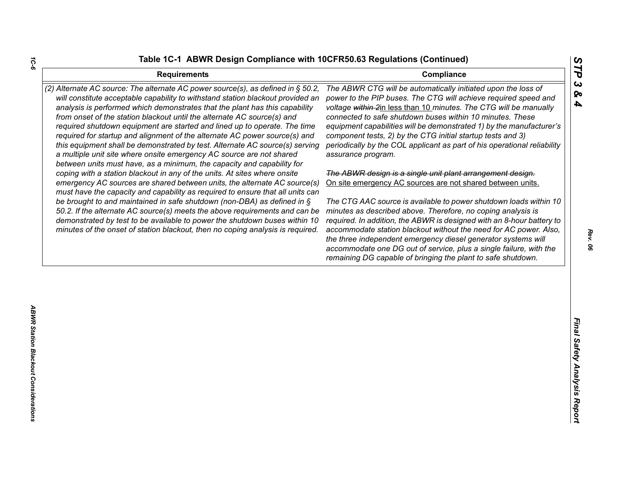| <b>Requirements</b>                                                                                                                                                                                                                                                                                                                                                                                                                                                                                                                                                                                                                                                                                                        | STP<br>Compliance                                                                                                                                                                                                                                                                                                                                                                                                                                                                                                                                |
|----------------------------------------------------------------------------------------------------------------------------------------------------------------------------------------------------------------------------------------------------------------------------------------------------------------------------------------------------------------------------------------------------------------------------------------------------------------------------------------------------------------------------------------------------------------------------------------------------------------------------------------------------------------------------------------------------------------------------|--------------------------------------------------------------------------------------------------------------------------------------------------------------------------------------------------------------------------------------------------------------------------------------------------------------------------------------------------------------------------------------------------------------------------------------------------------------------------------------------------------------------------------------------------|
| (2) Alternate AC source: The alternate AC power source(s), as defined in § 50.2,<br>will constitute acceptable capability to withstand station blackout provided an<br>analysis is performed which demonstrates that the plant has this capability<br>from onset of the station blackout until the alternate AC source(s) and<br>required shutdown equipment are started and lined up to operate. The time<br>required for startup and alignment of the alternate AC power source(s) and<br>this equipment shall be demonstrated by test. Alternate AC source(s) serving<br>a multiple unit site where onsite emergency AC source are not shared<br>between units must have, as a minimum, the capacity and capability for | $\boldsymbol{\omega}$<br>The ABWR CTG will be automatically initiated upon the loss of<br>ଚ୍ଚ<br>power to the PIP buses. The CTG will achieve required speed and<br>4<br>voltage within 2in less than 10 minutes. The CTG will be manually<br>connected to safe shutdown buses within 10 minutes. These<br>equipment capabilities will be demonstrated 1) by the manufacturer's<br>component tests, 2) by the CTG initial startup tests and 3)<br>periodically by the COL applicant as part of his operational reliability<br>assurance program. |
| coping with a station blackout in any of the units. At sites where onsite<br>emergency AC sources are shared between units, the alternate AC source(s)                                                                                                                                                                                                                                                                                                                                                                                                                                                                                                                                                                     | The ABWR design is a single unit plant arrangement design.<br>On site emergency AC sources are not shared between units.                                                                                                                                                                                                                                                                                                                                                                                                                         |
| must have the capacity and capability as required to ensure that all units can<br>be brought to and maintained in safe shutdown (non-DBA) as defined in $\S$<br>50.2. If the alternate AC source(s) meets the above requirements and can be<br>demonstrated by test to be available to power the shutdown buses within 10<br>minutes of the onset of station blackout, then no coping analysis is required.                                                                                                                                                                                                                                                                                                                | The CTG AAC source is available to power shutdown loads within 10<br>minutes as described above. Therefore, no coping analysis is<br>required. In addition, the ABWR is designed with an 8-hour battery to<br>accommodate station blackout without the need for AC power. Also,<br>the three independent emergency diesel generator systems will<br>accommodate one DG out of service, plus a single failure, with the<br>remaining DG capable of bringing the plant to safe shutdown.                                                           |
|                                                                                                                                                                                                                                                                                                                                                                                                                                                                                                                                                                                                                                                                                                                            |                                                                                                                                                                                                                                                                                                                                                                                                                                                                                                                                                  |
|                                                                                                                                                                                                                                                                                                                                                                                                                                                                                                                                                                                                                                                                                                                            | Final Safety Analysis Report                                                                                                                                                                                                                                                                                                                                                                                                                                                                                                                     |
|                                                                                                                                                                                                                                                                                                                                                                                                                                                                                                                                                                                                                                                                                                                            |                                                                                                                                                                                                                                                                                                                                                                                                                                                                                                                                                  |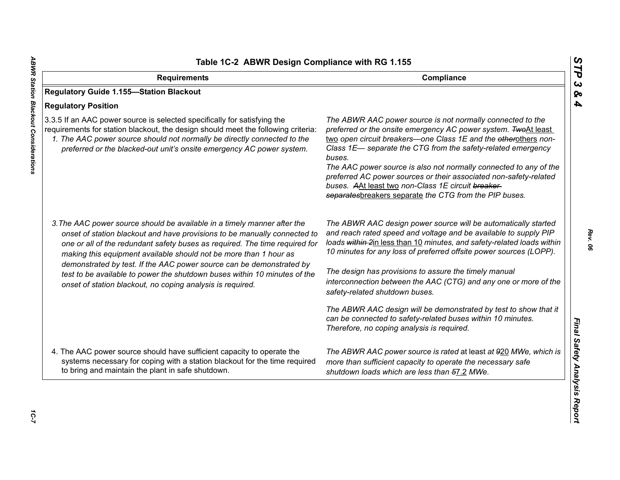| Table 1C-2 ABWR Design Compliance with RG 1.155                                                                                                                                                                                                                                                                                                                                                                                                                |                                                                                                                                                                                                                                                                                                                                                                                                                                                                                                                                     |  |
|----------------------------------------------------------------------------------------------------------------------------------------------------------------------------------------------------------------------------------------------------------------------------------------------------------------------------------------------------------------------------------------------------------------------------------------------------------------|-------------------------------------------------------------------------------------------------------------------------------------------------------------------------------------------------------------------------------------------------------------------------------------------------------------------------------------------------------------------------------------------------------------------------------------------------------------------------------------------------------------------------------------|--|
| <b>Requirements</b>                                                                                                                                                                                                                                                                                                                                                                                                                                            | Compliance                                                                                                                                                                                                                                                                                                                                                                                                                                                                                                                          |  |
| <b>Regulatory Guide 1.155-Station Blackout</b>                                                                                                                                                                                                                                                                                                                                                                                                                 |                                                                                                                                                                                                                                                                                                                                                                                                                                                                                                                                     |  |
| <b>Regulatory Position</b>                                                                                                                                                                                                                                                                                                                                                                                                                                     |                                                                                                                                                                                                                                                                                                                                                                                                                                                                                                                                     |  |
| 3.3.5 If an AAC power source is selected specifically for satisfying the<br>requirements for station blackout, the design should meet the following criteria:<br>1. The AAC power source should not normally be directly connected to the<br>preferred or the blacked-out unit's onsite emergency AC power system.                                                                                                                                             | The ABWR AAC power source is not normally connected to the<br>preferred or the onsite emergency AC power system. TwoAt least<br>two open circuit breakers-one Class 1E and the etherothers non-<br>Class 1E- separate the CTG from the safety-related emergency<br>buses.<br>The AAC power source is also not normally connected to any of the<br>preferred AC power sources or their associated non-safety-related<br>buses. AAt least two non-Class 1E circuit breaker-<br>separatesbreakers separate the CTG from the PIP buses. |  |
| 3. The AAC power source should be available in a timely manner after the<br>onset of station blackout and have provisions to be manually connected to<br>one or all of the redundant safety buses as required. The time required for<br>making this equipment available should not be more than 1 hour as<br>demonstrated by test. If the AAC power source can be demonstrated by<br>test to be available to power the shutdown buses within 10 minutes of the | The ABWR AAC design power source will be automatically started<br>and reach rated speed and voltage and be available to supply PIP<br>loads within 2in less than 10 minutes, and safety-related loads within<br>10 minutes for any loss of preferred offsite power sources (LOPP).<br>The design has provisions to assure the timely manual                                                                                                                                                                                         |  |
| onset of station blackout, no coping analysis is required.                                                                                                                                                                                                                                                                                                                                                                                                     | interconnection between the AAC (CTG) and any one or more of the<br>safety-related shutdown buses.                                                                                                                                                                                                                                                                                                                                                                                                                                  |  |
|                                                                                                                                                                                                                                                                                                                                                                                                                                                                | The ABWR AAC design will be demonstrated by test to show that it<br>can be connected to safety-related buses within 10 minutes.<br>Therefore, no coping analysis is required.                                                                                                                                                                                                                                                                                                                                                       |  |
| 4. The AAC power source should have sufficient capacity to operate the<br>systems necessary for coping with a station blackout for the time required<br>to bring and maintain the plant in safe shutdown.                                                                                                                                                                                                                                                      | The ABWR AAC power source is rated at least at 920 MWe, which is<br>more than sufficient capacity to operate the necessary safe<br>shutdown loads which are less than 57.2 MWe.                                                                                                                                                                                                                                                                                                                                                     |  |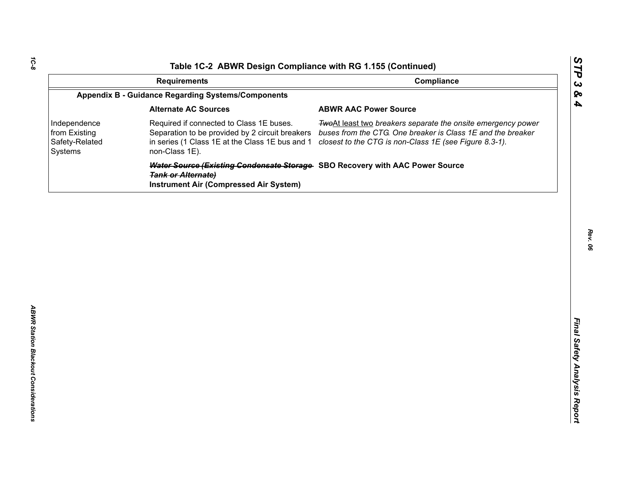| Compliance<br><b>Requirements</b><br><b>Appendix B - Guidance Regarding Systems/Components</b><br><b>Alternate AC Sources</b><br><b>ABWR AAC Power Source</b><br>Required if connected to Class 1E buses.<br>Independence<br>from Existing<br>Separation to be provided by 2 circuit breakers<br>Safety-Related<br>in series (1 Class 1E at the Class 1E bus and 1<br>closest to the CTG is non-Class 1E (see Figure 8.3-1).<br>non-Class 1E).<br>Systems | TwoAt least two breakers separate the onsite emergency power<br>buses from the CTG. One breaker is Class 1E and the breaker | Water Source (Existing Condensate Storage SBO Recovery with AAC Power Source<br><b>Tank or Alternate)</b><br><b>Instrument Air (Compressed Air System)</b> |  | Table 1C-2 ABWR Design Compliance with RG 1.155 (Continued) |  |
|-----------------------------------------------------------------------------------------------------------------------------------------------------------------------------------------------------------------------------------------------------------------------------------------------------------------------------------------------------------------------------------------------------------------------------------------------------------|-----------------------------------------------------------------------------------------------------------------------------|------------------------------------------------------------------------------------------------------------------------------------------------------------|--|-------------------------------------------------------------|--|
|                                                                                                                                                                                                                                                                                                                                                                                                                                                           |                                                                                                                             |                                                                                                                                                            |  |                                                             |  |
|                                                                                                                                                                                                                                                                                                                                                                                                                                                           |                                                                                                                             |                                                                                                                                                            |  |                                                             |  |
|                                                                                                                                                                                                                                                                                                                                                                                                                                                           |                                                                                                                             |                                                                                                                                                            |  |                                                             |  |
|                                                                                                                                                                                                                                                                                                                                                                                                                                                           |                                                                                                                             |                                                                                                                                                            |  |                                                             |  |
|                                                                                                                                                                                                                                                                                                                                                                                                                                                           |                                                                                                                             |                                                                                                                                                            |  |                                                             |  |
|                                                                                                                                                                                                                                                                                                                                                                                                                                                           |                                                                                                                             |                                                                                                                                                            |  |                                                             |  |
|                                                                                                                                                                                                                                                                                                                                                                                                                                                           |                                                                                                                             |                                                                                                                                                            |  |                                                             |  |
|                                                                                                                                                                                                                                                                                                                                                                                                                                                           |                                                                                                                             |                                                                                                                                                            |  |                                                             |  |
|                                                                                                                                                                                                                                                                                                                                                                                                                                                           |                                                                                                                             |                                                                                                                                                            |  |                                                             |  |
|                                                                                                                                                                                                                                                                                                                                                                                                                                                           |                                                                                                                             |                                                                                                                                                            |  |                                                             |  |
|                                                                                                                                                                                                                                                                                                                                                                                                                                                           |                                                                                                                             |                                                                                                                                                            |  |                                                             |  |
|                                                                                                                                                                                                                                                                                                                                                                                                                                                           |                                                                                                                             |                                                                                                                                                            |  |                                                             |  |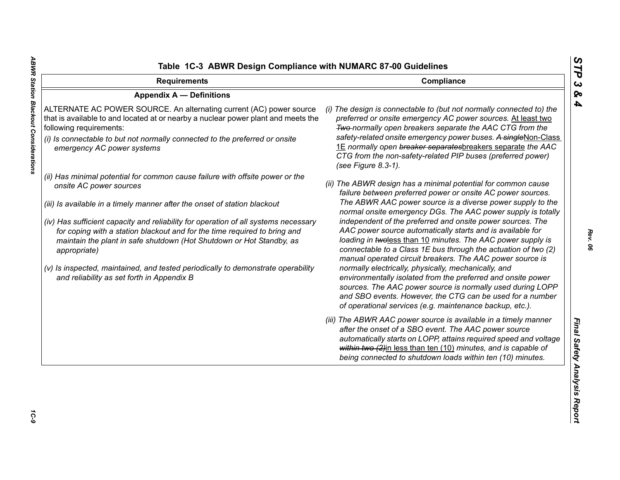| <b>Requirements</b>                                                                                                                                                                                                                                                                                                                                                                                                                                                                                                                                                                 | Compliance                                                                                                                                                                                                                                                                                                                                                                                                                                                                                                                                                                                                                                                                                                                                                                                                                                                                                          |
|-------------------------------------------------------------------------------------------------------------------------------------------------------------------------------------------------------------------------------------------------------------------------------------------------------------------------------------------------------------------------------------------------------------------------------------------------------------------------------------------------------------------------------------------------------------------------------------|-----------------------------------------------------------------------------------------------------------------------------------------------------------------------------------------------------------------------------------------------------------------------------------------------------------------------------------------------------------------------------------------------------------------------------------------------------------------------------------------------------------------------------------------------------------------------------------------------------------------------------------------------------------------------------------------------------------------------------------------------------------------------------------------------------------------------------------------------------------------------------------------------------|
| <b>Appendix A - Definitions</b>                                                                                                                                                                                                                                                                                                                                                                                                                                                                                                                                                     |                                                                                                                                                                                                                                                                                                                                                                                                                                                                                                                                                                                                                                                                                                                                                                                                                                                                                                     |
| ALTERNATE AC POWER SOURCE. An alternating current (AC) power source<br>that is available to and located at or nearby a nuclear power plant and meets the<br>following requirements:<br>(i) Is connectable to but not normally connected to the preferred or onsite<br>emergency AC power systems                                                                                                                                                                                                                                                                                    | (i) The design is connectable to (but not normally connected to) the<br>preferred or onsite emergency AC power sources. At least two<br>Two-normally open breakers separate the AAC CTG from the<br>safety-related onsite emergency power buses. A singleNon-Class<br>1E normally open breaker separatesbreakers separate the AAC<br>CTG from the non-safety-related PIP buses (preferred power)<br>(see Figure 8.3-1).                                                                                                                                                                                                                                                                                                                                                                                                                                                                             |
| (ii) Has minimal potential for common cause failure with offsite power or the<br>onsite AC power sources<br>(iii) Is available in a timely manner after the onset of station blackout<br>(iv) Has sufficient capacity and reliability for operation of all systems necessary<br>for coping with a station blackout and for the time required to bring and<br>maintain the plant in safe shutdown (Hot Shutdown or Hot Standby, as<br>appropriate)<br>(v) Is inspected, maintained, and tested periodically to demonstrate operability<br>and reliability as set forth in Appendix B | (ii) The ABWR design has a minimal potential for common cause<br>failure between preferred power or onsite AC power sources.<br>The ABWR AAC power source is a diverse power supply to the<br>normal onsite emergency DGs. The AAC power supply is totally<br>independent of the preferred and onsite power sources. The<br>AAC power source automatically starts and is available for<br>loading in twoless than 10 minutes. The AAC power supply is<br>connectable to a Class 1E bus through the actuation of two (2)<br>manual operated circuit breakers. The AAC power source is<br>normally electrically, physically, mechanically, and<br>environmentally isolated from the preferred and onsite power<br>sources. The AAC power source is normally used during LOPP<br>and SBO events. However, the CTG can be used for a number<br>of operational services (e.g. maintenance backup, etc.). |
|                                                                                                                                                                                                                                                                                                                                                                                                                                                                                                                                                                                     | (iii) The ABWR AAC power source is available in a timely manner<br>after the onset of a SBO event. The AAC power source<br>automatically starts on LOPP, attains required speed and voltage<br>within two (2)in less than ten (10) minutes, and is capable of<br>being connected to shutdown loads within ten (10) minutes.                                                                                                                                                                                                                                                                                                                                                                                                                                                                                                                                                                         |